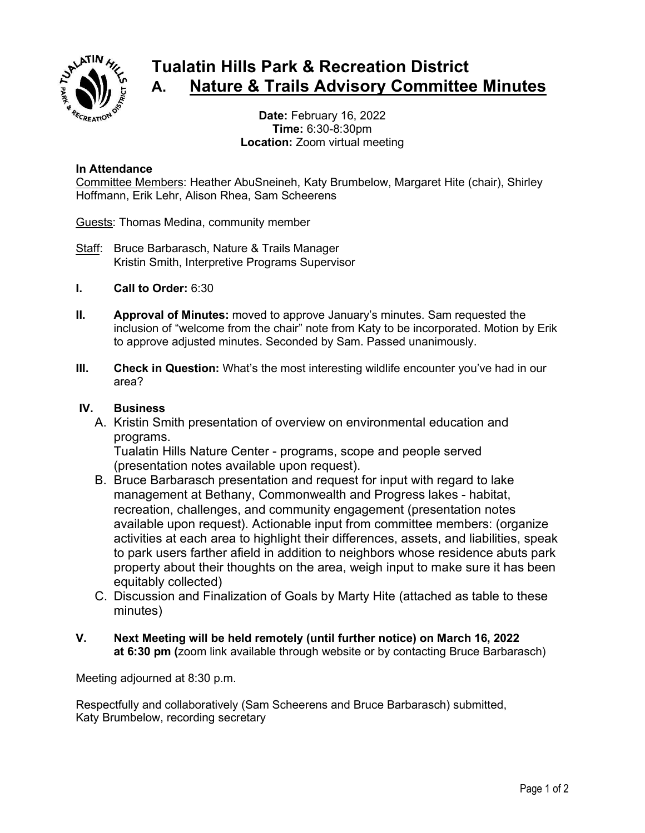

## **Tualatin Hills Park & Recreation District A. Nature & Trails Advisory Committee Minutes**

**Date:** February 16, 2022 **Time:** 6:30-8:30pm **Location:** Zoom virtual meeting

## **In Attendance**

Committee Members: Heather AbuSneineh, Katy Brumbelow, Margaret Hite (chair), Shirley Hoffmann, Erik Lehr, Alison Rhea, Sam Scheerens

Guests: Thomas Medina, community member

- Staff: Bruce Barbarasch, Nature & Trails Manager Kristin Smith, Interpretive Programs Supervisor
- **I. Call to Order:** 6:30
- **II. Approval of Minutes:** moved to approve January's minutes. Sam requested the inclusion of "welcome from the chair" note from Katy to be incorporated. Motion by Erik to approve adjusted minutes. Seconded by Sam. Passed unanimously.
- **III. Check in Question:** What's the most interesting wildlife encounter you've had in our area?

## **IV. Business**

A. Kristin Smith presentation of overview on environmental education and programs.

Tualatin Hills Nature Center - programs, scope and people served (presentation notes available upon request).

- B. Bruce Barbarasch presentation and request for input with regard to lake management at Bethany, Commonwealth and Progress lakes - habitat, recreation, challenges, and community engagement (presentation notes available upon request). Actionable input from committee members: (organize activities at each area to highlight their differences, assets, and liabilities, speak to park users farther afield in addition to neighbors whose residence abuts park property about their thoughts on the area, weigh input to make sure it has been equitably collected)
- C. Discussion and Finalization of Goals by Marty Hite (attached as table to these minutes)
- **V. Next Meeting will be held remotely (until further notice) on March 16, 2022 at 6:30 pm (**zoom link available through website or by contacting Bruce Barbarasch)

Meeting adjourned at 8:30 p.m.

Respectfully and collaboratively (Sam Scheerens and Bruce Barbarasch) submitted, Katy Brumbelow, recording secretary